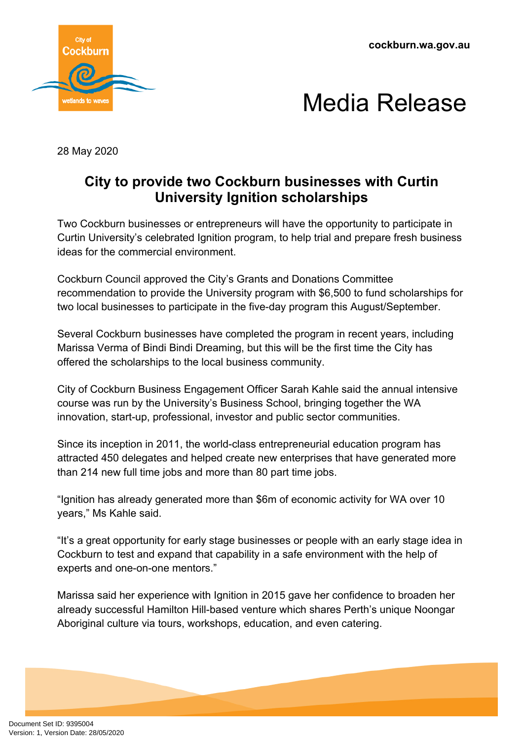**cockburn.wa.gov.au**





28 May 2020

## **City to provide two Cockburn businesses with Curtin University Ignition scholarships**

Two Cockburn businesses or entrepreneurs will have the opportunity to participate in Curtin University's celebrated Ignition program, to help trial and prepare fresh business ideas for the commercial environment.

Cockburn Council approved the City's Grants and Donations Committee recommendation to provide the University program with \$6,500 to fund scholarships for two local businesses to participate in the five-day program this August/September.

Several Cockburn businesses have completed the program in recent years, including Marissa Verma of Bindi Bindi Dreaming, but this will be the first time the City has offered the scholarships to the local business community.

City of Cockburn Business Engagement Officer Sarah Kahle said the annual intensive course was run by the University's Business School, bringing together the WA innovation, start-up, professional, investor and public sector communities.

Since its inception in 2011, the world-class entrepreneurial education program has attracted 450 delegates and helped create new enterprises that have generated more than 214 new full time jobs and more than 80 part time jobs.

"Ignition has already generated more than \$6m of economic activity for WA over 10 years," Ms Kahle said.

"It's a great opportunity for early stage businesses or people with an early stage idea in Cockburn to test and expand that capability in a safe environment with the help of experts and one-on-one mentors."

Marissa said her experience with Ignition in 2015 gave her confidence to broaden her already successful Hamilton Hill-based venture which shares Perth's unique Noongar Aboriginal culture via tours, workshops, education, and even catering.